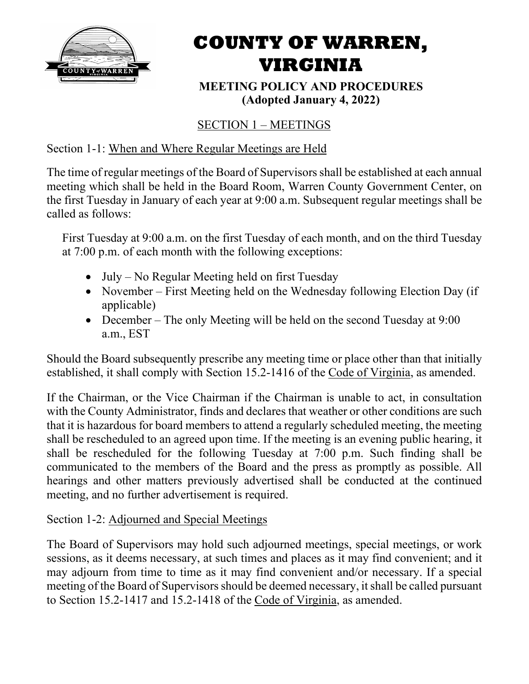

# **COUNTY OF WARREN, VIRGINIA**

**MEETING POLICY AND PROCEDURES (Adopted January 4, 2022)**

# SECTION 1 – MEETINGS

# Section 1-1: When and Where Regular Meetings are Held

The time of regular meetings of the Board of Supervisors shall be established at each annual meeting which shall be held in the Board Room, Warren County Government Center, on the first Tuesday in January of each year at 9:00 a.m. Subsequent regular meetings shall be called as follows:

First Tuesday at 9:00 a.m. on the first Tuesday of each month, and on the third Tuesday at 7:00 p.m. of each month with the following exceptions:

- July No Regular Meeting held on first Tuesday
- November First Meeting held on the Wednesday following Election Day (if applicable)
- December The only Meeting will be held on the second Tuesday at 9:00 a.m., EST

Should the Board subsequently prescribe any meeting time or place other than that initially established, it shall comply with Section 15.2-1416 of the Code of Virginia, as amended.

If the Chairman, or the Vice Chairman if the Chairman is unable to act, in consultation with the County Administrator, finds and declares that weather or other conditions are such that it is hazardous for board members to attend a regularly scheduled meeting, the meeting shall be rescheduled to an agreed upon time. If the meeting is an evening public hearing, it shall be rescheduled for the following Tuesday at 7:00 p.m. Such finding shall be communicated to the members of the Board and the press as promptly as possible. All hearings and other matters previously advertised shall be conducted at the continued meeting, and no further advertisement is required.

# Section 1-2: Adjourned and Special Meetings

The Board of Supervisors may hold such adjourned meetings, special meetings, or work sessions, as it deems necessary, at such times and places as it may find convenient; and it may adjourn from time to time as it may find convenient and/or necessary. If a special meeting of the Board of Supervisors should be deemed necessary, it shall be called pursuant to Section 15.2-1417 and 15.2-1418 of the Code of Virginia, as amended.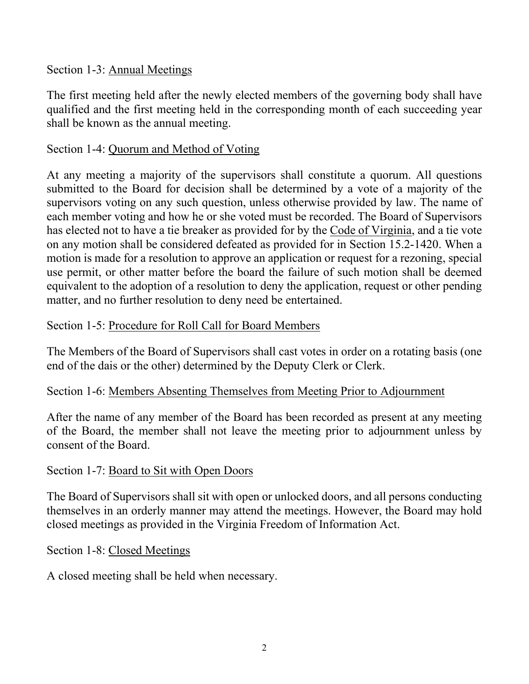## Section 1-3: Annual Meetings

The first meeting held after the newly elected members of the governing body shall have qualified and the first meeting held in the corresponding month of each succeeding year shall be known as the annual meeting.

## Section 1-4: Quorum and Method of Voting

At any meeting a majority of the supervisors shall constitute a quorum. All questions submitted to the Board for decision shall be determined by a vote of a majority of the supervisors voting on any such question, unless otherwise provided by law. The name of each member voting and how he or she voted must be recorded. The Board of Supervisors has elected not to have a tie breaker as provided for by the Code of Virginia, and a tie vote on any motion shall be considered defeated as provided for in Section 15.2-1420. When a motion is made for a resolution to approve an application or request for a rezoning, special use permit, or other matter before the board the failure of such motion shall be deemed equivalent to the adoption of a resolution to deny the application, request or other pending matter, and no further resolution to deny need be entertained.

#### Section 1-5: Procedure for Roll Call for Board Members

The Members of the Board of Supervisors shall cast votes in order on a rotating basis (one end of the dais or the other) determined by the Deputy Clerk or Clerk.

#### Section 1-6: Members Absenting Themselves from Meeting Prior to Adjournment

After the name of any member of the Board has been recorded as present at any meeting of the Board, the member shall not leave the meeting prior to adjournment unless by consent of the Board.

#### Section 1-7: Board to Sit with Open Doors

The Board of Supervisors shall sit with open or unlocked doors, and all persons conducting themselves in an orderly manner may attend the meetings. However, the Board may hold closed meetings as provided in the Virginia Freedom of Information Act.

#### Section 1-8: Closed Meetings

A closed meeting shall be held when necessary.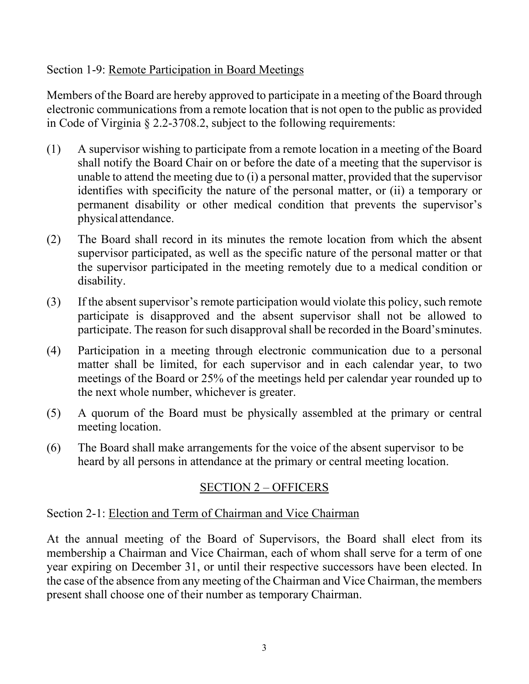## Section 1-9: Remote Participation in Board Meetings

Members of the Board are hereby approved to participate in a meeting of the Board through electronic communications from a remote location that is not open to the public as provided in Code of Virginia § 2.2-3708.2, subject to the following requirements:

- (1) A supervisor wishing to participate from a remote location in a meeting of the Board shall notify the Board Chair on or before the date of a meeting that the supervisor is unable to attend the meeting due to (i) a personal matter, provided that the supervisor identifies with specificity the nature of the personal matter, or (ii) a temporary or permanent disability or other medical condition that prevents the supervisor's physical attendance.
- (2) The Board shall record in its minutes the remote location from which the absent supervisor participated, as well as the specific nature of the personal matter or that the supervisor participated in the meeting remotely due to a medical condition or disability.
- (3) If the absent supervisor's remote participation would violate this policy, such remote participate is disapproved and the absent supervisor shall not be allowed to participate. The reason for such disapproval shall be recorded in the Board'sminutes.
- (4) Participation in a meeting through electronic communication due to a personal matter shall be limited, for each supervisor and in each calendar year, to two meetings of the Board or 25% of the meetings held per calendar year rounded up to the next whole number, whichever is greater.
- (5) A quorum of the Board must be physically assembled at the primary or central meeting location.
- (6) The Board shall make arrangements for the voice of the absent supervisor to be heard by all persons in attendance at the primary or central meeting location.

# SECTION 2 – OFFICERS

# Section 2-1: Election and Term of Chairman and Vice Chairman

At the annual meeting of the Board of Supervisors, the Board shall elect from its membership a Chairman and Vice Chairman, each of whom shall serve for a term of one year expiring on December 31, or until their respective successors have been elected. In the case of the absence from any meeting of the Chairman and Vice Chairman, the members present shall choose one of their number as temporary Chairman.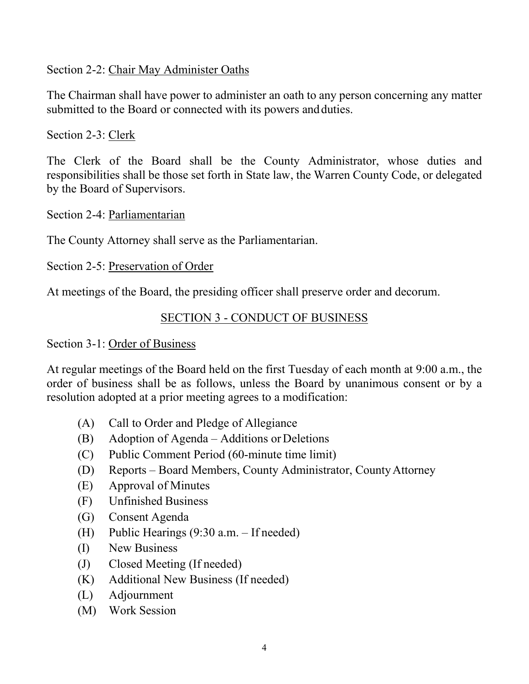#### Section 2-2: Chair May Administer Oaths

The Chairman shall have power to administer an oath to any person concerning any matter submitted to the Board or connected with its powers and duties.

Section 2-3: Clerk

The Clerk of the Board shall be the County Administrator, whose duties and responsibilities shall be those set forth in State law, the Warren County Code, or delegated by the Board of Supervisors.

Section 2-4: Parliamentarian

The County Attorney shall serve as the Parliamentarian.

Section 2-5: Preservation of Order

At meetings of the Board, the presiding officer shall preserve order and decorum.

# SECTION 3 - CONDUCT OF BUSINESS

#### Section 3-1: Order of Business

At regular meetings of the Board held on the first Tuesday of each month at 9:00 a.m., the order of business shall be as follows, unless the Board by unanimous consent or by a resolution adopted at a prior meeting agrees to a modification:

- (A) Call to Order and Pledge of Allegiance
- $(B)$  Adoption of Agenda Additions or Deletions
- (C) Public Comment Period (60-minute time limit)
- (D) Reports Board Members, County Administrator, CountyAttorney
- (E) Approval of Minutes
- (F) Unfinished Business
- (G) Consent Agenda
- (H) Public Hearings (9:30 a.m. If needed)
- (I) New Business
- (J) Closed Meeting (If needed)
- (K) Additional New Business (If needed)
- (L) Adjournment
- (M) Work Session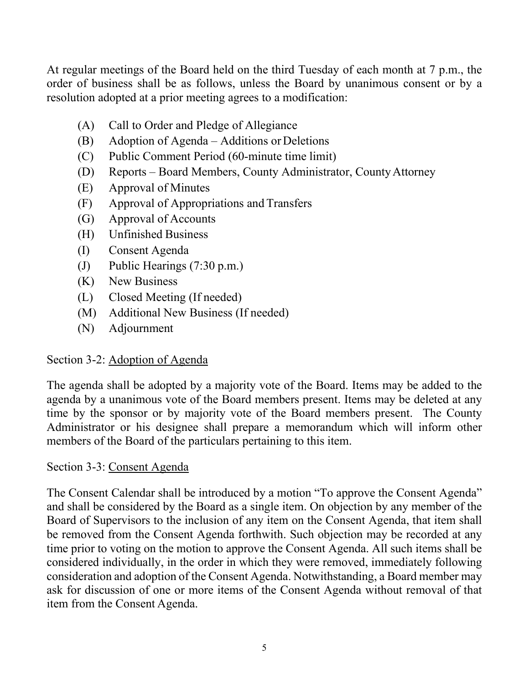At regular meetings of the Board held on the third Tuesday of each month at 7 p.m., the order of business shall be as follows, unless the Board by unanimous consent or by a resolution adopted at a prior meeting agrees to a modification:

- (A) Call to Order and Pledge of Allegiance
- (B) Adoption of Agenda Additions or Deletions
- (C) Public Comment Period (60-minute time limit)
- (D) Reports Board Members, County Administrator, CountyAttorney
- (E) Approval of Minutes
- (F) Approval of Appropriations and Transfers
- (G) Approval of Accounts
- (H) Unfinished Business
- (I) Consent Agenda
- (J) Public Hearings (7:30 p.m.)
- (K) New Business
- (L) Closed Meeting (If needed)
- (M) Additional New Business (If needed)
- (N) Adjournment

# Section 3-2: Adoption of Agenda

The agenda shall be adopted by a majority vote of the Board. Items may be added to the agenda by a unanimous vote of the Board members present. Items may be deleted at any time by the sponsor or by majority vote of the Board members present. The County Administrator or his designee shall prepare a memorandum which will inform other members of the Board of the particulars pertaining to this item.

# Section 3-3: Consent Agenda

The Consent Calendar shall be introduced by a motion "To approve the Consent Agenda" and shall be considered by the Board as a single item. On objection by any member of the Board of Supervisors to the inclusion of any item on the Consent Agenda, that item shall be removed from the Consent Agenda forthwith. Such objection may be recorded at any time prior to voting on the motion to approve the Consent Agenda. All such items shall be considered individually, in the order in which they were removed, immediately following consideration and adoption of the Consent Agenda. Notwithstanding, a Board member may ask for discussion of one or more items of the Consent Agenda without removal of that item from the Consent Agenda.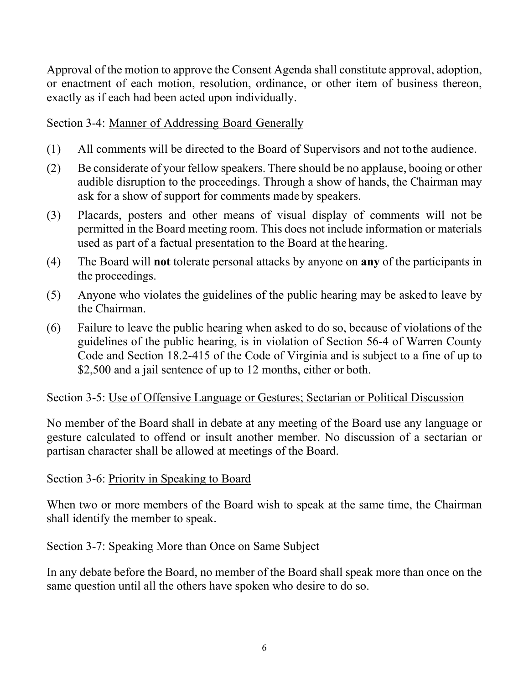Approval of the motion to approve the Consent Agenda shall constitute approval, adoption, or enactment of each motion, resolution, ordinance, or other item of business thereon, exactly as if each had been acted upon individually.

# Section 3-4: Manner of Addressing Board Generally

- (1) All comments will be directed to the Board of Supervisors and not tothe audience.
- (2) Be considerate of your fellow speakers. There should be no applause, booing or other audible disruption to the proceedings. Through a show of hands, the Chairman may ask for a show of support for comments made by speakers.
- (3) Placards, posters and other means of visual display of comments will not be permitted in the Board meeting room. This does not include information or materials used as part of a factual presentation to the Board at the hearing.
- (4) The Board will **not** tolerate personal attacks by anyone on **any** of the participants in the proceedings.
- (5) Anyone who violates the guidelines of the public hearing may be asked to leave by the Chairman.
- (6) Failure to leave the public hearing when asked to do so, because of violations of the guidelines of the public hearing, is in violation of Section 56-4 of Warren County Code and Section 18.2-415 of the Code of Virginia and is subject to a fine of up to \$2,500 and a jail sentence of up to 12 months, either or both.

# Section 3-5: Use of Offensive Language or Gestures; Sectarian or Political Discussion

No member of the Board shall in debate at any meeting of the Board use any language or gesture calculated to offend or insult another member. No discussion of a sectarian or partisan character shall be allowed at meetings of the Board.

# Section 3-6: Priority in Speaking to Board

When two or more members of the Board wish to speak at the same time, the Chairman shall identify the member to speak.

# Section 3-7: Speaking More than Once on Same Subject

In any debate before the Board, no member of the Board shall speak more than once on the same question until all the others have spoken who desire to do so.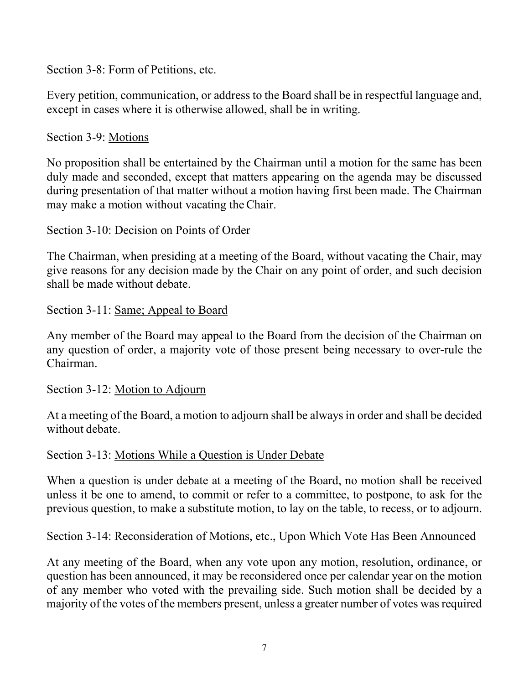Section 3-8: Form of Petitions, etc.

Every petition, communication, or address to the Board shall be in respectful language and, except in cases where it is otherwise allowed, shall be in writing.

# Section 3-9: Motions

No proposition shall be entertained by the Chairman until a motion for the same has been duly made and seconded, except that matters appearing on the agenda may be discussed during presentation of that matter without a motion having first been made. The Chairman may make a motion without vacating the Chair.

## Section 3-10: Decision on Points of Order

The Chairman, when presiding at a meeting of the Board, without vacating the Chair, may give reasons for any decision made by the Chair on any point of order, and such decision shall be made without debate.

## Section 3-11: Same; Appeal to Board

Any member of the Board may appeal to the Board from the decision of the Chairman on any question of order, a majority vote of those present being necessary to over-rule the Chairman.

#### Section 3-12: Motion to Adjourn

At a meeting of the Board, a motion to adjourn shall be always in order and shall be decided without debate.

#### Section 3-13: Motions While a Question is Under Debate

When a question is under debate at a meeting of the Board, no motion shall be received unless it be one to amend, to commit or refer to a committee, to postpone, to ask for the previous question, to make a substitute motion, to lay on the table, to recess, or to adjourn.

# Section 3-14: Reconsideration of Motions, etc., Upon Which Vote Has Been Announced

At any meeting of the Board, when any vote upon any motion, resolution, ordinance, or question has been announced, it may be reconsidered once per calendar year on the motion of any member who voted with the prevailing side. Such motion shall be decided by a majority of the votes of the members present, unless a greater number of votes was required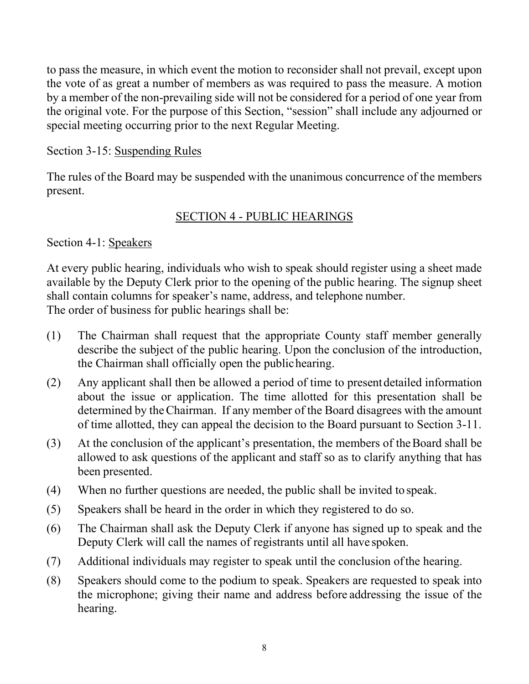to pass the measure, in which event the motion to reconsider shall not prevail, except upon the vote of as great a number of members as was required to pass the measure. A motion by a member of the non-prevailing side will not be considered for a period of one year from the original vote. For the purpose of this Section, "session" shall include any adjourned or special meeting occurring prior to the next Regular Meeting.

## Section 3-15: Suspending Rules

The rules of the Board may be suspended with the unanimous concurrence of the members present.

# SECTION 4 - PUBLIC HEARINGS

Section 4-1: Speakers

At every public hearing, individuals who wish to speak should register using a sheet made available by the Deputy Clerk prior to the opening of the public hearing. The signup sheet shall contain columns for speaker's name, address, and telephone number. The order of business for public hearings shall be:

- (1) The Chairman shall request that the appropriate County staff member generally describe the subject of the public hearing. Upon the conclusion of the introduction, the Chairman shall officially open the publichearing.
- (2) Any applicant shall then be allowed a period of time to presentdetailed information about the issue or application. The time allotted for this presentation shall be determined by theChairman. If any member of the Board disagrees with the amount of time allotted, they can appeal the decision to the Board pursuant to Section 3-11.
- (3) At the conclusion of the applicant's presentation, the members of theBoard shall be allowed to ask questions of the applicant and staff so as to clarify anything that has been presented.
- (4) When no further questions are needed, the public shall be invited to speak.
- (5) Speakers shall be heard in the order in which they registered to do so.
- (6) The Chairman shall ask the Deputy Clerk if anyone has signed up to speak and the Deputy Clerk will call the names of registrants until all have spoken.
- (7) Additional individuals may register to speak until the conclusion ofthe hearing.
- (8) Speakers should come to the podium to speak. Speakers are requested to speak into the microphone; giving their name and address before addressing the issue of the hearing.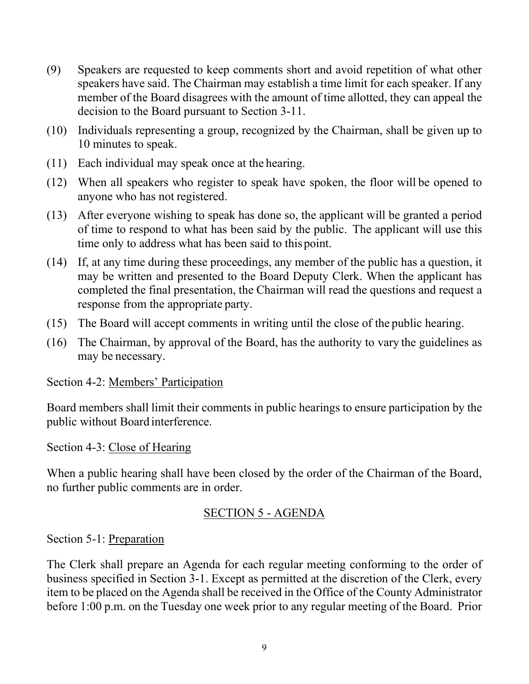- (9) Speakers are requested to keep comments short and avoid repetition of what other speakers have said. The Chairman may establish a time limit for each speaker. If any member of the Board disagrees with the amount of time allotted, they can appeal the decision to the Board pursuant to Section 3-11.
- (10) Individuals representing a group, recognized by the Chairman, shall be given up to 10 minutes to speak.
- (11) Each individual may speak once at the hearing.
- (12) When all speakers who register to speak have spoken, the floor will be opened to anyone who has not registered.
- (13) After everyone wishing to speak has done so, the applicant will be granted a period of time to respond to what has been said by the public. The applicant will use this time only to address what has been said to thispoint.
- (14) If, at any time during these proceedings, any member of the public has a question, it may be written and presented to the Board Deputy Clerk. When the applicant has completed the final presentation, the Chairman will read the questions and request a response from the appropriate party.
- (15) The Board will accept comments in writing until the close of the public hearing.
- (16) The Chairman, by approval of the Board, has the authority to vary the guidelines as may be necessary.

#### Section 4-2: Members' Participation

Board members shall limit their comments in public hearings to ensure participation by the public without Board interference.

#### Section 4-3: Close of Hearing

When a public hearing shall have been closed by the order of the Chairman of the Board, no further public comments are in order.

# SECTION 5 - AGENDA

Section 5-1: Preparation

The Clerk shall prepare an Agenda for each regular meeting conforming to the order of business specified in Section 3-1. Except as permitted at the discretion of the Clerk, every item to be placed on the Agenda shall be received in the Office of the County Administrator before 1:00 p.m. on the Tuesday one week prior to any regular meeting of the Board. Prior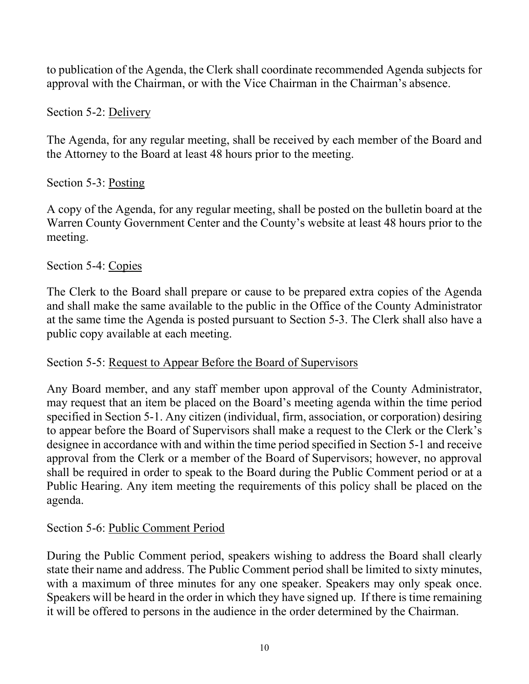to publication of the Agenda, the Clerk shall coordinate recommended Agenda subjects for approval with the Chairman, or with the Vice Chairman in the Chairman's absence.

# Section 5-2: Delivery

The Agenda, for any regular meeting, shall be received by each member of the Board and the Attorney to the Board at least 48 hours prior to the meeting.

# Section 5-3: Posting

A copy of the Agenda, for any regular meeting, shall be posted on the bulletin board at the Warren County Government Center and the County's website at least 48 hours prior to the meeting.

## Section 5-4: Copies

The Clerk to the Board shall prepare or cause to be prepared extra copies of the Agenda and shall make the same available to the public in the Office of the County Administrator at the same time the Agenda is posted pursuant to Section 5-3. The Clerk shall also have a public copy available at each meeting.

#### Section 5-5: Request to Appear Before the Board of Supervisors

Any Board member, and any staff member upon approval of the County Administrator, may request that an item be placed on the Board's meeting agenda within the time period specified in Section 5-1. Any citizen (individual, firm, association, or corporation) desiring to appear before the Board of Supervisors shall make a request to the Clerk or the Clerk's designee in accordance with and within the time period specified in Section 5-1 and receive approval from the Clerk or a member of the Board of Supervisors; however, no approval shall be required in order to speak to the Board during the Public Comment period or at a Public Hearing. Any item meeting the requirements of this policy shall be placed on the agenda.

# Section 5-6: Public Comment Period

During the Public Comment period, speakers wishing to address the Board shall clearly state their name and address. The Public Comment period shall be limited to sixty minutes, with a maximum of three minutes for any one speaker. Speakers may only speak once. Speakers will be heard in the order in which they have signed up. If there is time remaining it will be offered to persons in the audience in the order determined by the Chairman.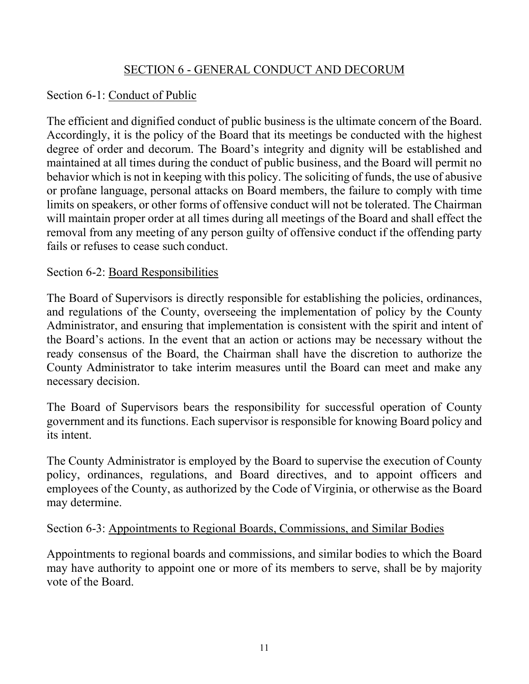## SECTION 6 - GENERAL CONDUCT AND DECORUM

## Section 6-1: Conduct of Public

The efficient and dignified conduct of public business is the ultimate concern of the Board. Accordingly, it is the policy of the Board that its meetings be conducted with the highest degree of order and decorum. The Board's integrity and dignity will be established and maintained at all times during the conduct of public business, and the Board will permit no behavior which is not in keeping with this policy. The soliciting of funds, the use of abusive or profane language, personal attacks on Board members, the failure to comply with time limits on speakers, or other forms of offensive conduct will not be tolerated. The Chairman will maintain proper order at all times during all meetings of the Board and shall effect the removal from any meeting of any person guilty of offensive conduct if the offending party fails or refuses to cease such conduct.

#### Section 6-2: Board Responsibilities

The Board of Supervisors is directly responsible for establishing the policies, ordinances, and regulations of the County, overseeing the implementation of policy by the County Administrator, and ensuring that implementation is consistent with the spirit and intent of the Board's actions. In the event that an action or actions may be necessary without the ready consensus of the Board, the Chairman shall have the discretion to authorize the County Administrator to take interim measures until the Board can meet and make any necessary decision.

The Board of Supervisors bears the responsibility for successful operation of County government and its functions. Each supervisor is responsible for knowing Board policy and its intent.

The County Administrator is employed by the Board to supervise the execution of County policy, ordinances, regulations, and Board directives, and to appoint officers and employees of the County, as authorized by the Code of Virginia, or otherwise as the Board may determine.

#### Section 6-3: Appointments to Regional Boards, Commissions, and Similar Bodies

Appointments to regional boards and commissions, and similar bodies to which the Board may have authority to appoint one or more of its members to serve, shall be by majority vote of the Board.